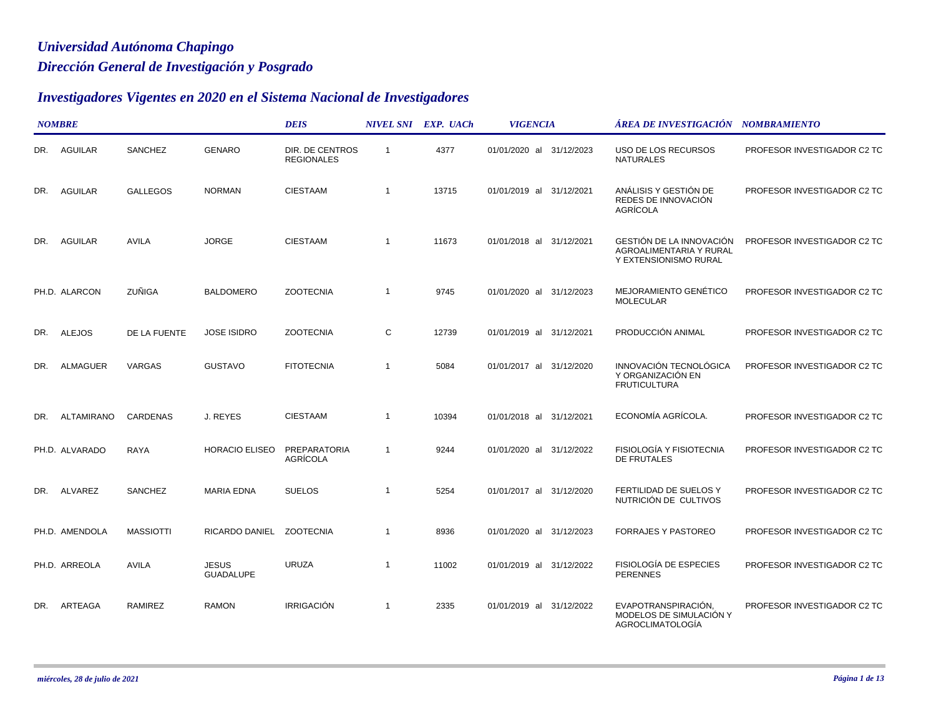## *Dirección General de Investigación y Posgrado Universidad Autónoma Chapingo*

## *Investigadores Vigentes en 2020 en el Sistema Nacional de Investigadores*

|     | <b>NOMBRE</b>     |                  |                                  | <b>DEIS</b>                            |                | NIVEL SNI EXP. UACh | <b>VIGENCIA</b>          | ÁREA DE INVESTIGACIÓN    NOMBRAMIENTO                                        |                             |
|-----|-------------------|------------------|----------------------------------|----------------------------------------|----------------|---------------------|--------------------------|------------------------------------------------------------------------------|-----------------------------|
| DR. | AGUILAR           | SANCHEZ          | <b>GENARO</b>                    | DIR. DE CENTROS<br><b>REGIONALES</b>   | $\overline{1}$ | 4377                | 01/01/2020 al 31/12/2023 | USO DE LOS RECURSOS<br><b>NATURALES</b>                                      | PROFESOR INVESTIGADOR C2 TC |
| DR. | <b>AGUILAR</b>    | <b>GALLEGOS</b>  | <b>NORMAN</b>                    | <b>CIESTAAM</b>                        | $\overline{1}$ | 13715               | 01/01/2019 al 31/12/2021 | ANÁLISIS Y GESTIÓN DE<br>REDES DE INNOVACIÓN<br>AGRÍCOLA                     | PROFESOR INVESTIGADOR C2 TC |
| DR. | <b>AGUILAR</b>    | <b>AVILA</b>     | <b>JORGE</b>                     | <b>CIESTAAM</b>                        | $\overline{1}$ | 11673               | 01/01/2018 al 31/12/2021 | GESTIÓN DE LA INNOVACIÓN<br>AGROALIMENTARIA Y RURAL<br>Y EXTENSIONISMO RURAL | PROFESOR INVESTIGADOR C2 TC |
|     | PH.D. ALARCON     | ZUÑIGA           | <b>BALDOMERO</b>                 | <b>ZOOTECNIA</b>                       | -1             | 9745                | 01/01/2020 al 31/12/2023 | MEJORAMIENTO GENÉTICO<br><b>MOLECULAR</b>                                    | PROFESOR INVESTIGADOR C2 TC |
| DR. | <b>ALEJOS</b>     | DE LA FUENTE     | <b>JOSE ISIDRO</b>               | <b>ZOOTECNIA</b>                       | С              | 12739               | 01/01/2019 al 31/12/2021 | PRODUCCIÓN ANIMAL                                                            | PROFESOR INVESTIGADOR C2 TC |
| DR. | <b>ALMAGUER</b>   | VARGAS           | <b>GUSTAVO</b>                   | <b>FITOTECNIA</b>                      | $\overline{1}$ | 5084                | 01/01/2017 al 31/12/2020 | INNOVACIÓN TECNOLÓGICA<br>Y ORGANIZACIÓN EN<br><b>FRUTICULTURA</b>           | PROFESOR INVESTIGADOR C2 TC |
| DR. | <b>ALTAMIRANO</b> | <b>CARDENAS</b>  | J. REYES                         | <b>CIESTAAM</b>                        | $\overline{1}$ | 10394               | 01/01/2018 al 31/12/2021 | ECONOMÍA AGRÍCOLA.                                                           | PROFESOR INVESTIGADOR C2 TC |
|     | PH.D. ALVARADO    | RAYA             | <b>HORACIO ELISEO</b>            | <b>PREPARATORIA</b><br><b>AGRÍCOLA</b> | $\overline{1}$ | 9244                | 01/01/2020 al 31/12/2022 | FISIOLOGÍA Y FISIOTECNIA<br><b>DE FRUTALES</b>                               | PROFESOR INVESTIGADOR C2 TC |
| DR. | ALVAREZ           | SANCHEZ          | <b>MARIA EDNA</b>                | <b>SUELOS</b>                          | $\overline{1}$ | 5254                | 01/01/2017 al 31/12/2020 | FERTILIDAD DE SUELOS Y<br>NUTRICIÓN DE CULTIVOS                              | PROFESOR INVESTIGADOR C2 TC |
|     | PH.D. AMENDOLA    | <b>MASSIOTTI</b> | RICARDO DANIEL ZOOTECNIA         |                                        | $\overline{1}$ | 8936                | 01/01/2020 al 31/12/2023 | <b>FORRAJES Y PASTOREO</b>                                                   | PROFESOR INVESTIGADOR C2 TC |
|     | PH.D. ARREOLA     | <b>AVILA</b>     | <b>JESUS</b><br><b>GUADALUPE</b> | <b>URUZA</b>                           | -1             | 11002               | 01/01/2019 al 31/12/2022 | FISIOLOGÍA DE ESPECIES<br><b>PERENNES</b>                                    | PROFESOR INVESTIGADOR C2 TC |
| DR. | ARTEAGA           | RAMIREZ          | <b>RAMON</b>                     | IRRIGACIÓN                             | $\overline{1}$ | 2335                | 01/01/2019 al 31/12/2022 | EVAPOTRANSPIRACIÓN,<br>MODELOS DE SIMULACIÓN Y<br><b>AGROCLIMATOLOGÍA</b>    | PROFESOR INVESTIGADOR C2 TC |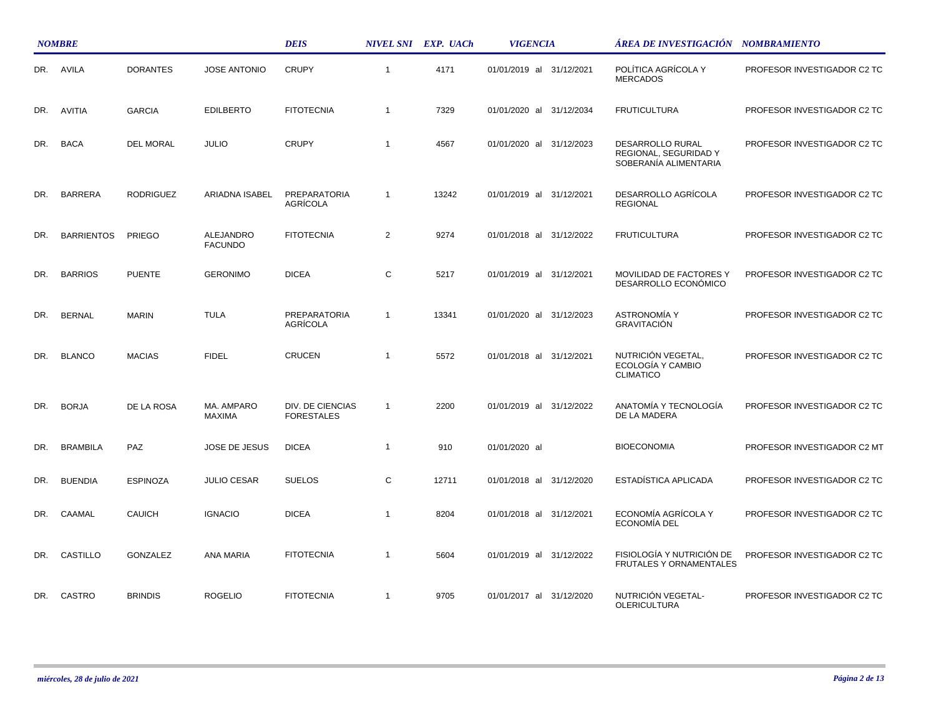|     | <b>NOMBRE</b>     |                  |                             | <b>DEIS</b>                           |                | NIVEL SNI EXP. UACh | <b>VIGENCIA</b>             | ÁREA DE INVESTIGACIÓN NOMBRAMIENTO                                 |                             |
|-----|-------------------|------------------|-----------------------------|---------------------------------------|----------------|---------------------|-----------------------------|--------------------------------------------------------------------|-----------------------------|
| DR. | AVILA             | <b>DORANTES</b>  | <b>JOSE ANTONIO</b>         | <b>CRUPY</b>                          | $\overline{1}$ | 4171                | 01/01/2019 al 31/12/2021    | POLÍTICA AGRÍCOLA Y<br><b>MERCADOS</b>                             | PROFESOR INVESTIGADOR C2 TC |
| DR. | <b>AVITIA</b>     | <b>GARCIA</b>    | <b>EDILBERTO</b>            | <b>FITOTECNIA</b>                     | $\overline{1}$ | 7329                | 01/01/2020 al 31/12/2034    | <b>FRUTICULTURA</b>                                                | PROFESOR INVESTIGADOR C2 TC |
| DR. | <b>BACA</b>       | <b>DEL MORAL</b> | <b>JULIO</b>                | <b>CRUPY</b>                          | $\overline{1}$ | 4567                | 01/01/2020 al 31/12/2023    | DESARROLLO RURAL<br>REGIONAL, SEGURIDAD Y<br>SOBERANÍA ALIMENTARIA | PROFESOR INVESTIGADOR C2 TC |
| DR. | <b>BARRERA</b>    | <b>RODRIGUEZ</b> | ARIADNA ISABEL              | PREPARATORIA<br>AGRÍCOLA              | $\overline{1}$ | 13242               | 01/01/2019 al<br>31/12/2021 | DESARROLLO AGRÍCOLA<br><b>REGIONAL</b>                             | PROFESOR INVESTIGADOR C2 TC |
| DR. | <b>BARRIENTOS</b> | PRIEGO           | ALEJANDRO<br><b>FACUNDO</b> | <b>FITOTECNIA</b>                     | 2              | 9274                | 01/01/2018 al 31/12/2022    | <b>FRUTICULTURA</b>                                                | PROFESOR INVESTIGADOR C2 TC |
| DR. | <b>BARRIOS</b>    | <b>PUENTE</b>    | <b>GERONIMO</b>             | <b>DICEA</b>                          | C              | 5217                | 01/01/2019 al 31/12/2021    | MOVILIDAD DE FACTORES Y<br>DESARROLLO ECONÓMICO                    | PROFESOR INVESTIGADOR C2 TC |
| DR. | <b>BERNAL</b>     | <b>MARIN</b>     | <b>TULA</b>                 | PREPARATORIA<br>AGRÍCOLA              | $\overline{1}$ | 13341               | 01/01/2020 al 31/12/2023    | <b>ASTRONOMÍA Y</b><br><b>GRAVITACIÓN</b>                          | PROFESOR INVESTIGADOR C2 TC |
| DR. | <b>BLANCO</b>     | <b>MACIAS</b>    | <b>FIDEL</b>                | <b>CRUCEN</b>                         | $\overline{1}$ | 5572                | 01/01/2018 al 31/12/2021    | NUTRICIÓN VEGETAL,<br>ECOLOGÍA Y CAMBIO<br><b>CLIMATICO</b>        | PROFESOR INVESTIGADOR C2 TC |
| DR. | <b>BORJA</b>      | DE LA ROSA       | MA. AMPARO<br><b>MAXIMA</b> | DIV. DE CIENCIAS<br><b>FORESTALES</b> | $\overline{1}$ | 2200                | 01/01/2019 al 31/12/2022    | ANATOMÍA Y TECNOLOGÍA<br>DE LA MADERA                              | PROFESOR INVESTIGADOR C2 TC |
| DR. | <b>BRAMBILA</b>   | PAZ              | JOSE DE JESUS               | <b>DICEA</b>                          | $\overline{1}$ | 910                 | 01/01/2020 al               | <b>BIOECONOMIA</b>                                                 | PROFESOR INVESTIGADOR C2 MT |
| DR. | <b>BUENDIA</b>    | <b>ESPINOZA</b>  | <b>JULIO CESAR</b>          | <b>SUELOS</b>                         | C              | 12711               | 01/01/2018 al<br>31/12/2020 | ESTADÍSTICA APLICADA                                               | PROFESOR INVESTIGADOR C2 TC |
| DR. | CAAMAL            | <b>CAUICH</b>    | <b>IGNACIO</b>              | <b>DICEA</b>                          | $\mathbf{1}$   | 8204                | 01/01/2018 al 31/12/2021    | ECONOMÍA AGRÍCOLA Y<br><b>ECONOMIA DEL</b>                         | PROFESOR INVESTIGADOR C2 TC |
| DR. | CASTILLO          | GONZALEZ         | ANA MARIA                   | <b>FITOTECNIA</b>                     | $\overline{1}$ | 5604                | 01/01/2019 al<br>31/12/2022 | FISIOLOGÍA Y NUTRICIÓN DE<br>FRUTALES Y ORNAMENTALES               | PROFESOR INVESTIGADOR C2 TC |
| DR. | CASTRO            | <b>BRINDIS</b>   | <b>ROGELIO</b>              | <b>FITOTECNIA</b>                     | $\mathbf{1}$   | 9705                | 01/01/2017 al 31/12/2020    | NUTRICIÓN VEGETAL-<br><b>OLERICULTURA</b>                          | PROFESOR INVESTIGADOR C2 TC |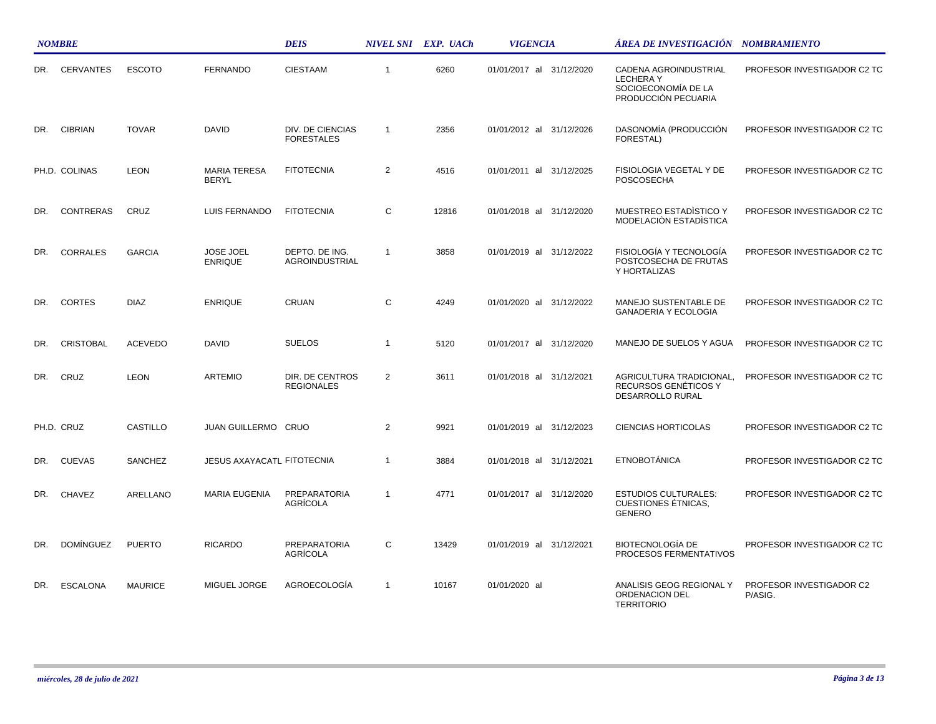|     | <b>NOMBRE</b>    |                 |                                     | <b>DEIS</b>                           |                | NIVEL SNI EXP. UACh | <b>VIGENCIA</b>             | ÁREA DE INVESTIGACIÓN    NOMBRAMIENTO                                                  |                                     |
|-----|------------------|-----------------|-------------------------------------|---------------------------------------|----------------|---------------------|-----------------------------|----------------------------------------------------------------------------------------|-------------------------------------|
| DR. | <b>CERVANTES</b> | <b>ESCOTO</b>   | <b>FERNANDO</b>                     | <b>CIESTAAM</b>                       | $\mathbf{1}$   | 6260                | 01/01/2017 al 31/12/2020    | CADENA AGROINDUSTRIAL<br><b>LECHERAY</b><br>SOCIOECONOMÍA DE LA<br>PRODUCCIÓN PECUARIA | PROFESOR INVESTIGADOR C2 TC         |
| DR. | <b>CIBRIAN</b>   | <b>TOVAR</b>    | DAVID                               | DIV. DE CIENCIAS<br><b>FORESTALES</b> | $\mathbf{1}$   | 2356                | 01/01/2012 al 31/12/2026    | DASONOMÍA (PRODUCCIÓN<br>FORESTAL)                                                     | PROFESOR INVESTIGADOR C2 TC         |
|     | PH.D. COLINAS    | <b>LEON</b>     | <b>MARIA TERESA</b><br><b>BERYL</b> | <b>FITOTECNIA</b>                     | $\overline{2}$ | 4516                | 01/01/2011 al 31/12/2025    | FISIOLOGIA VEGETAL Y DE<br><b>POSCOSECHA</b>                                           | PROFESOR INVESTIGADOR C2 TC         |
| DR. | <b>CONTRERAS</b> | CRUZ            | LUIS FERNANDO                       | <b>FITOTECNIA</b>                     | C              | 12816               | 01/01/2018 al 31/12/2020    | MUESTREO ESTADÍSTICO Y<br>MODELACIÓN ESTADÍSTICA                                       | PROFESOR INVESTIGADOR C2 TC         |
| DR. | <b>CORRALES</b>  | <b>GARCIA</b>   | <b>JOSE JOEL</b><br><b>ENRIQUE</b>  | DEPTO. DE ING.<br>AGROINDUSTRIAL      | $\mathbf{1}$   | 3858                | 01/01/2019 al 31/12/2022    | FISIOLOGÍA Y TECNOLOGÍA<br>POSTCOSECHA DE FRUTAS<br>Y HORTALIZAS                       | PROFESOR INVESTIGADOR C2 TC         |
| DR. | <b>CORTES</b>    | <b>DIAZ</b>     | <b>ENRIQUE</b>                      | CRUAN                                 | C              | 4249                | 01/01/2020 al<br>31/12/2022 | MANEJO SUSTENTABLE DE<br><b>GANADERIA Y ECOLOGIA</b>                                   | PROFESOR INVESTIGADOR C2 TC         |
| DR. | <b>CRISTOBAL</b> | <b>ACEVEDO</b>  | <b>DAVID</b>                        | <b>SUELOS</b>                         | $\overline{1}$ | 5120                | 01/01/2017 al 31/12/2020    | MANEJO DE SUELOS Y AGUA                                                                | PROFESOR INVESTIGADOR C2 TC         |
| DR. | CRUZ             | <b>LEON</b>     | <b>ARTEMIO</b>                      | DIR. DE CENTROS<br><b>REGIONALES</b>  | $\overline{2}$ | 3611                | 01/01/2018 al 31/12/2021    | AGRICULTURA TRADICIONAL,<br>RECURSOS GENÉTICOS Y<br>DESARROLLO RURAL                   | PROFESOR INVESTIGADOR C2 TC         |
|     | PH.D. CRUZ       | <b>CASTILLO</b> | JUAN GUILLERMO CRUO                 |                                       | 2              | 9921                | 01/01/2019 al 31/12/2023    | <b>CIENCIAS HORTICOLAS</b>                                                             | PROFESOR INVESTIGADOR C2 TC         |
| DR. | <b>CUEVAS</b>    | SANCHEZ         | <b>JESUS AXAYACATL FITOTECNIA</b>   |                                       | $\mathbf{1}$   | 3884                | 01/01/2018 al 31/12/2021    | <b>ETNOBOTÁNICA</b>                                                                    | PROFESOR INVESTIGADOR C2 TC         |
| DR. | <b>CHAVEZ</b>    | ARELLANO        | <b>MARIA EUGENIA</b>                | PREPARATORIA<br>AGRÍCOLA              | $\mathbf{1}$   | 4771                | 01/01/2017 al 31/12/2020    | <b>ESTUDIOS CULTURALES:</b><br><b>CUESTIONES ÉTNICAS,</b><br><b>GENERO</b>             | PROFESOR INVESTIGADOR C2 TC         |
| DR. | <b>DOMÍNGUEZ</b> | <b>PUERTO</b>   | <b>RICARDO</b>                      | <b>PREPARATORIA</b><br>AGRÍCOLA       | C              | 13429               | 01/01/2019 al 31/12/2021    | <b>BIOTECNOLOGÍA DE</b><br>PROCESOS FERMENTATIVOS                                      | PROFESOR INVESTIGADOR C2 TC         |
| DR. | <b>ESCALONA</b>  | <b>MAURICE</b>  | MIGUEL JORGE                        | AGROECOLOGÍA                          | $\mathbf{1}$   | 10167               | 01/01/2020 al               | ANALISIS GEOG REGIONAL Y<br>ORDENACION DEL<br><b>TERRITORIO</b>                        | PROFESOR INVESTIGADOR C2<br>P/ASIG. |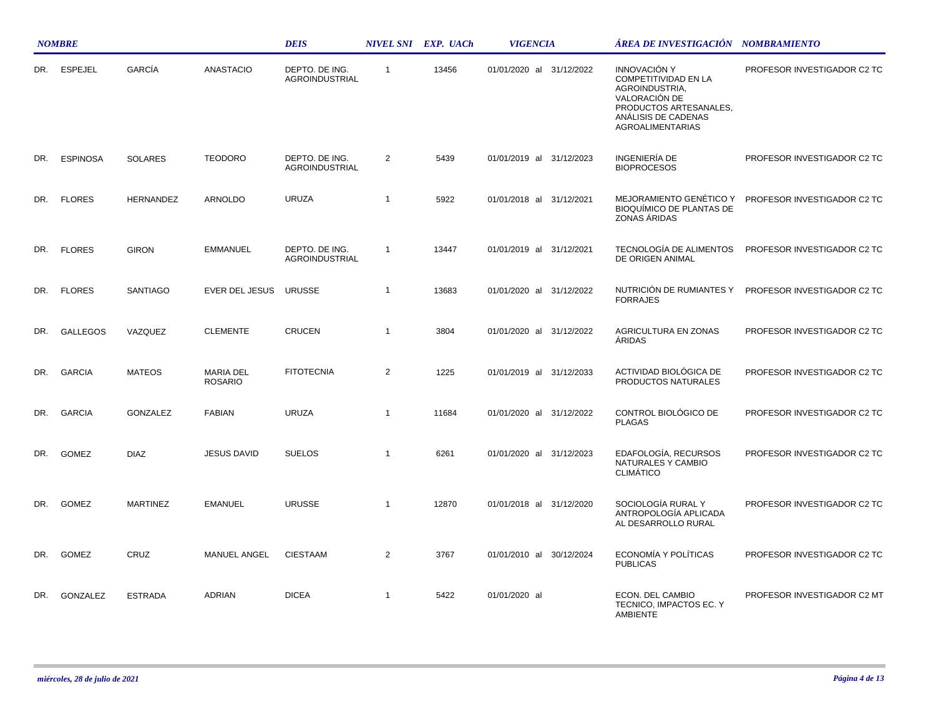|     | <b>NOMBRE</b>   |                  |                             | <b>DEIS</b>                             |                | NIVEL SNI EXP. UACh | <b>VIGENCIA</b>             | ÁREA DE INVESTIGACIÓN NOMBRAMIENTO                                                                                                                                |                             |
|-----|-----------------|------------------|-----------------------------|-----------------------------------------|----------------|---------------------|-----------------------------|-------------------------------------------------------------------------------------------------------------------------------------------------------------------|-----------------------------|
| DR. | <b>ESPEJEL</b>  | GARCÍA           | <b>ANASTACIO</b>            | DEPTO. DE ING.<br><b>AGROINDUSTRIAL</b> | $\mathbf{1}$   | 13456               | 01/01/2020 al 31/12/2022    | <b>INNOVACIÓN Y</b><br><b>COMPETITIVIDAD EN LA</b><br>AGROINDUSTRIA,<br>VALORACIÓN DE<br>PRODUCTOS ARTESANALES,<br>ANÁLISIS DE CADENAS<br><b>AGROALIMENTARIAS</b> | PROFESOR INVESTIGADOR C2 TC |
| DR. | <b>ESPINOSA</b> | <b>SOLARES</b>   | <b>TEODORO</b>              | DEPTO. DE ING.<br>AGROINDUSTRIAL        | $\overline{2}$ | 5439                | 01/01/2019 al 31/12/2023    | INGENIERÍA DE<br><b>BIOPROCESOS</b>                                                                                                                               | PROFESOR INVESTIGADOR C2 TC |
| DR. | <b>FLORES</b>   | <b>HERNANDEZ</b> | ARNOLDO                     | <b>URUZA</b>                            | $\mathbf 1$    | 5922                | 01/01/2018 al 31/12/2021    | MEJORAMIENTO GENÉTICO Y<br><b>BIOQUÍMICO DE PLANTAS DE</b><br>ZONAS ÁRIDAS                                                                                        | PROFESOR INVESTIGADOR C2 TC |
| DR. | <b>FLORES</b>   | <b>GIRON</b>     | <b>EMMANUEL</b>             | DEPTO. DE ING.<br>AGROINDUSTRIAL        | $\mathbf{1}$   | 13447               | 01/01/2019 al 31/12/2021    | TECNOLOGÍA DE ALIMENTOS<br>DE ORIGEN ANIMAL                                                                                                                       | PROFESOR INVESTIGADOR C2 TC |
| DR. | <b>FLORES</b>   | SANTIAGO         | EVER DEL JESUS              | <b>URUSSE</b>                           | $\overline{1}$ | 13683               | 01/01/2020 al<br>31/12/2022 | NUTRICIÓN DE RUMIANTES Y<br><b>FORRAJES</b>                                                                                                                       | PROFESOR INVESTIGADOR C2 TC |
| DR. | <b>GALLEGOS</b> | VAZQUEZ          | <b>CLEMENTE</b>             | <b>CRUCEN</b>                           | $\mathbf{1}$   | 3804                | 01/01/2020 al 31/12/2022    | AGRICULTURA EN ZONAS<br><b>ARIDAS</b>                                                                                                                             | PROFESOR INVESTIGADOR C2 TC |
| DR. | <b>GARCIA</b>   | <b>MATEOS</b>    | MARIA DEL<br><b>ROSARIO</b> | <b>FITOTECNIA</b>                       | $\overline{2}$ | 1225                | 01/01/2019 al 31/12/2033    | ACTIVIDAD BIOLÓGICA DE<br>PRODUCTOS NATURALES                                                                                                                     | PROFESOR INVESTIGADOR C2 TC |
| DR. | <b>GARCIA</b>   | GONZALEZ         | <b>FABIAN</b>               | <b>URUZA</b>                            | $\mathbf{1}$   | 11684               | 01/01/2020 al 31/12/2022    | CONTROL BIOLÓGICO DE<br><b>PLAGAS</b>                                                                                                                             | PROFESOR INVESTIGADOR C2 TC |
| DR. | <b>GOMEZ</b>    | <b>DIAZ</b>      | <b>JESUS DAVID</b>          | <b>SUELOS</b>                           | $\mathbf{1}$   | 6261                | 01/01/2020 al 31/12/2023    | EDAFOLOGÍA, RECURSOS<br>NATURALES Y CAMBIO<br><b>CLIMATICO</b>                                                                                                    | PROFESOR INVESTIGADOR C2 TC |
| DR. | <b>GOMEZ</b>    | <b>MARTINEZ</b>  | <b>EMANUEL</b>              | <b>URUSSE</b>                           | $\overline{1}$ | 12870               | 01/01/2018 al 31/12/2020    | SOCIOLOGÍA RURAL Y<br>ANTROPOLOGÍA APLICADA<br>AL DESARROLLO RURAL                                                                                                | PROFESOR INVESTIGADOR C2 TC |
| DR. | <b>GOMEZ</b>    | <b>CRUZ</b>      | <b>MANUEL ANGEL</b>         | <b>CIESTAAM</b>                         | $\overline{2}$ | 3767                | 01/01/2010 al 30/12/2024    | ECONOMÍA Y POLÍTICAS<br><b>PUBLICAS</b>                                                                                                                           | PROFESOR INVESTIGADOR C2 TC |
| DR. | <b>GONZALEZ</b> | <b>ESTRADA</b>   | <b>ADRIAN</b>               | <b>DICEA</b>                            | $\mathbf{1}$   | 5422                | 01/01/2020 al               | ECON. DEL CAMBIO<br>TECNICO, IMPACTOS EC. Y<br>AMBIENTE                                                                                                           | PROFESOR INVESTIGADOR C2 MT |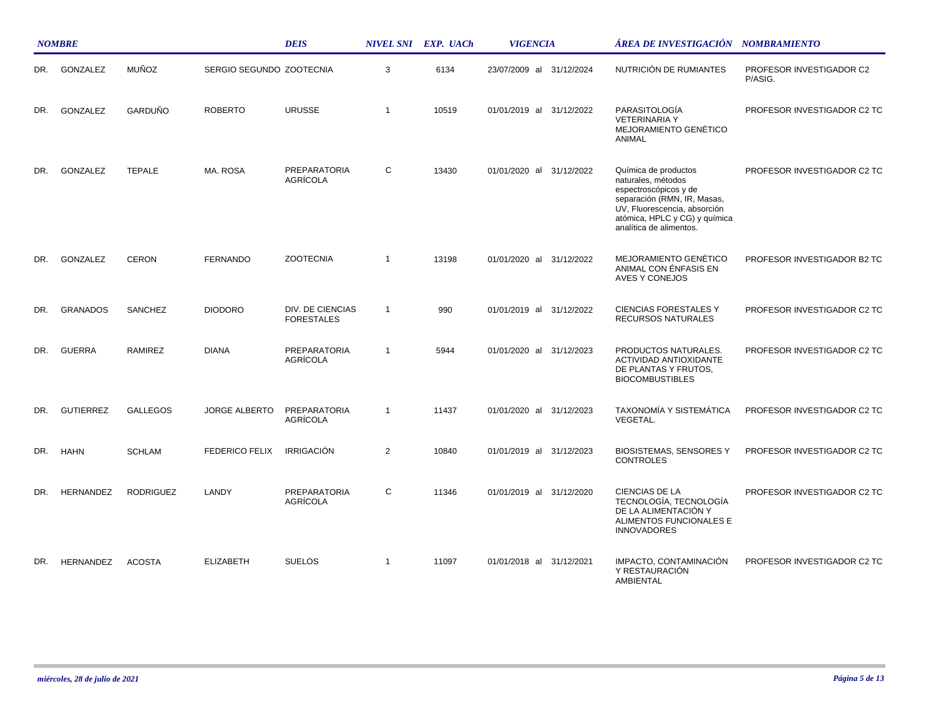|     | <b>NOMBRE</b>    |                  |                          | <b>DEIS</b>                           |                | NIVEL SNI EXP. UACh | <b>VIGENCIA</b>          | ÁREA DE INVESTIGACIÓN NOMBRAMIENTO                                                                                                                                                             |                                     |
|-----|------------------|------------------|--------------------------|---------------------------------------|----------------|---------------------|--------------------------|------------------------------------------------------------------------------------------------------------------------------------------------------------------------------------------------|-------------------------------------|
| DR. | GONZALEZ         | <b>MUÑOZ</b>     | SERGIO SEGUNDO ZOOTECNIA |                                       | 3              | 6134                | 23/07/2009 al 31/12/2024 | NUTRICIÓN DE RUMIANTES                                                                                                                                                                         | PROFESOR INVESTIGADOR C2<br>P/ASIG. |
| DR. | GONZALEZ         | GARDUÑO          | <b>ROBERTO</b>           | <b>URUSSE</b>                         | $\overline{1}$ | 10519               | 01/01/2019 al 31/12/2022 | PARASITOLOGÍA<br><b>VETERINARIA Y</b><br><b>MEJORAMIENTO GENÉTICO</b><br>ANIMAL                                                                                                                | PROFESOR INVESTIGADOR C2 TC         |
| DR. | GONZALEZ         | <b>TEPALE</b>    | MA. ROSA                 | PREPARATORIA<br>AGRÍCOLA              | C              | 13430               | 01/01/2020 al 31/12/2022 | Química de productos<br>naturales, métodos<br>espectroscópicos y de<br>separación (RMN, IR, Masas,<br>UV, Fluorescencia, absorción<br>atómica, HPLC y CG) y química<br>analítica de alimentos. | PROFESOR INVESTIGADOR C2 TC         |
| DR. | GONZALEZ         | <b>CERON</b>     | <b>FERNANDO</b>          | <b>ZOOTECNIA</b>                      | $\overline{1}$ | 13198               | 01/01/2020 al 31/12/2022 | MEJORAMIENTO GENÉTICO<br>ANIMAL CON ENFASIS EN<br>AVES Y CONEJOS                                                                                                                               | PROFESOR INVESTIGADOR B2 TC         |
| DR. | <b>GRANADOS</b>  | SANCHEZ          | <b>DIODORO</b>           | DIV. DE CIENCIAS<br><b>FORESTALES</b> | $\mathbf{1}$   | 990                 | 01/01/2019 al 31/12/2022 | <b>CIENCIAS FORESTALES Y</b><br><b>RECURSOS NATURALES</b>                                                                                                                                      | PROFESOR INVESTIGADOR C2 TC         |
| DR. | <b>GUERRA</b>    | <b>RAMIREZ</b>   | <b>DIANA</b>             | PREPARATORIA<br>AGRÍCOLA              | $\mathbf{1}$   | 5944                | 01/01/2020 al 31/12/2023 | PRODUCTOS NATURALES.<br><b>ACTIVIDAD ANTIOXIDANTE</b><br>DE PLANTAS Y FRUTOS,<br><b>BIOCOMBUSTIBLES</b>                                                                                        | PROFESOR INVESTIGADOR C2 TC         |
| DR. | <b>GUTIERREZ</b> | <b>GALLEGOS</b>  | <b>JORGE ALBERTO</b>     | PREPARATORIA<br>AGRÍCOLA              | $\overline{1}$ | 11437               | 01/01/2020 al 31/12/2023 | TAXONOMÍA Y SISTEMÁTICA<br>VEGETAL.                                                                                                                                                            | PROFESOR INVESTIGADOR C2 TC         |
| DR. | <b>HAHN</b>      | <b>SCHLAM</b>    | <b>FEDERICO FELIX</b>    | <b>IRRIGACIÓN</b>                     | $\overline{2}$ | 10840               | 01/01/2019 al 31/12/2023 | <b>BIOSISTEMAS, SENSORES Y</b><br><b>CONTROLES</b>                                                                                                                                             | PROFESOR INVESTIGADOR C2 TC         |
| DR. | <b>HERNANDEZ</b> | <b>RODRIGUEZ</b> | LANDY                    | <b>PREPARATORIA</b><br>AGRÍCOLA       | C              | 11346               | 01/01/2019 al 31/12/2020 | CIENCIAS DE LA<br>TECNOLOGÍA, TECNOLOGÍA<br>DE LA ALIMENTACIÓN Y<br>ALIMENTOS FUNCIONALES E<br><b>INNOVADORES</b>                                                                              | PROFESOR INVESTIGADOR C2 TC         |
| DR. | <b>HERNANDEZ</b> | <b>ACOSTA</b>    | <b>ELIZABETH</b>         | <b>SUELOS</b>                         | $\mathbf{1}$   | 11097               | 01/01/2018 al 31/12/2021 | IMPACTO, CONTAMINACIÓN<br>Y RESTAURACIÓN<br>AMBIENTAL                                                                                                                                          | PROFESOR INVESTIGADOR C2 TC         |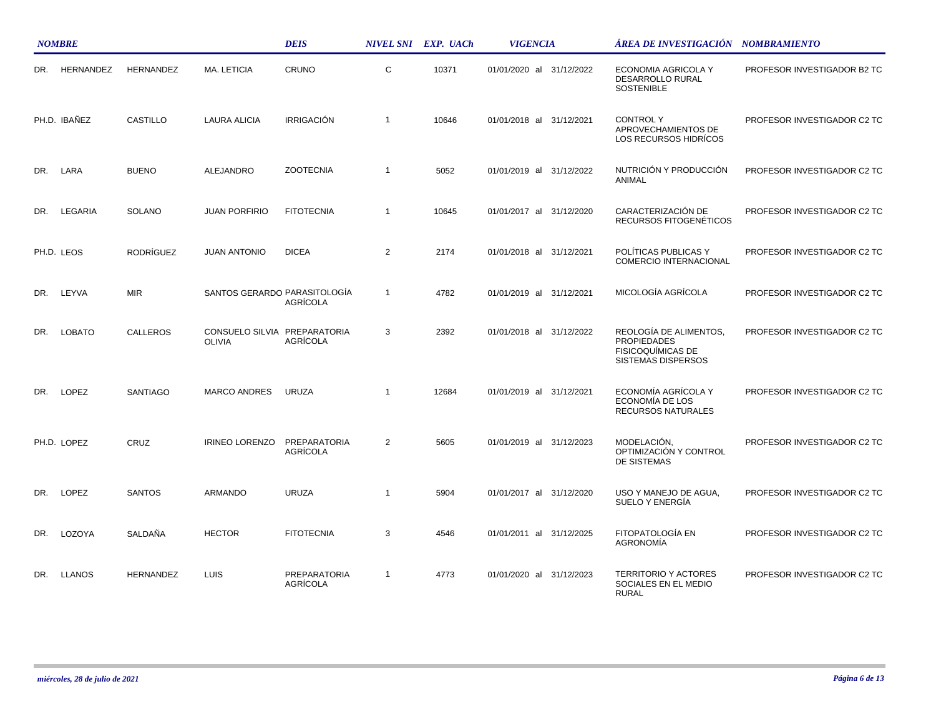|     | <b>NOMBRE</b>    |                  |                                               | <b>DEIS</b>                     |                | NIVEL SNI EXP. UACh | <b>VIGENCIA</b>          | ÁREA DE INVESTIGACIÓN NOMBRAMIENTO                                                             |                             |
|-----|------------------|------------------|-----------------------------------------------|---------------------------------|----------------|---------------------|--------------------------|------------------------------------------------------------------------------------------------|-----------------------------|
| DR. | <b>HERNANDEZ</b> | <b>HERNANDEZ</b> | MA. LETICIA                                   | CRUNO                           | $\mathsf{C}$   | 10371               | 01/01/2020 al 31/12/2022 | ECONOMIA AGRICOLA Y<br><b>DESARROLLO RURAL</b><br><b>SOSTENIBLE</b>                            | PROFESOR INVESTIGADOR B2 TC |
|     | PH.D. IBAÑEZ     | <b>CASTILLO</b>  | <b>LAURA ALICIA</b>                           | <b>IRRIGACIÓN</b>               | $\overline{1}$ | 10646               | 01/01/2018 al 31/12/2021 | <b>CONTROLY</b><br>APROVECHAMIENTOS DE<br>LOS RECURSOS HIDRÍCOS                                | PROFESOR INVESTIGADOR C2 TC |
| DR. | LARA             | <b>BUENO</b>     | <b>ALEJANDRO</b>                              | <b>ZOOTECNIA</b>                | $\overline{1}$ | 5052                | 01/01/2019 al 31/12/2022 | NUTRICIÓN Y PRODUCCIÓN<br>ANIMAL                                                               | PROFESOR INVESTIGADOR C2 TC |
| DR. | LEGARIA          | <b>SOLANO</b>    | <b>JUAN PORFIRIO</b>                          | <b>FITOTECNIA</b>               | $\overline{1}$ | 10645               | 01/01/2017 al 31/12/2020 | CARACTERIZACIÓN DE<br>RECURSOS FITOGENÉTICOS                                                   | PROFESOR INVESTIGADOR C2 TC |
|     | PH.D. LEOS       | RODRÍGUEZ        | <b>JUAN ANTONIO</b>                           | <b>DICEA</b>                    | $\overline{2}$ | 2174                | 01/01/2018 al 31/12/2021 | POLÍTICAS PUBLICAS Y<br>COMERCIO INTERNACIONAL                                                 | PROFESOR INVESTIGADOR C2 TC |
| DR. | LEYVA            | <b>MIR</b>       | SANTOS GERARDO PARASITOLOGÍA                  | AGRÍCOLA                        | $\overline{1}$ | 4782                | 01/01/2019 al 31/12/2021 | MICOLOGÍA AGRÍCOLA                                                                             | PROFESOR INVESTIGADOR C2 TC |
| DR. | <b>LOBATO</b>    | <b>CALLEROS</b>  | CONSUELO SILVIA PREPARATORIA<br><b>OLIVIA</b> | AGRÍCOLA                        | 3              | 2392                | 01/01/2018 al 31/12/2022 | REOLOGÍA DE ALIMENTOS.<br><b>PROPIEDADES</b><br><b>FISICOQUÍMICAS DE</b><br>SISTEMAS DISPERSOS | PROFESOR INVESTIGADOR C2 TC |
| DR. | LOPEZ            | <b>SANTIAGO</b>  | <b>MARCO ANDRES</b>                           | <b>URUZA</b>                    | $\overline{1}$ | 12684               | 01/01/2019 al 31/12/2021 | ECONOMÍA AGRÍCOLA Y<br>ECONOMÍA DE LOS<br>RECURSOS NATURALES                                   | PROFESOR INVESTIGADOR C2 TC |
|     | PH.D. LOPEZ      | CRUZ             | <b>IRINEO LORENZO</b>                         | PREPARATORIA<br>AGRÍCOLA        | 2              | 5605                | 01/01/2019 al 31/12/2023 | MODELACIÓN,<br>OPTIMIZACIÓN Y CONTROL<br>DE SISTEMAS                                           | PROFESOR INVESTIGADOR C2 TC |
| DR. | <b>LOPEZ</b>     | <b>SANTOS</b>    | <b>ARMANDO</b>                                | <b>URUZA</b>                    | $\overline{1}$ | 5904                | 01/01/2017 al 31/12/2020 | USO Y MANEJO DE AGUA.<br>SUELO Y ENERGÍA                                                       | PROFESOR INVESTIGADOR C2 TC |
| DR. | LOZOYA           | <b>SALDAÑA</b>   | <b>HECTOR</b>                                 | <b>FITOTECNIA</b>               | 3              | 4546                | 01/01/2011 al 31/12/2025 | FITOPATOLOGÍA EN<br><b>AGRONOMÍA</b>                                                           | PROFESOR INVESTIGADOR C2 TC |
| DR. | <b>LLANOS</b>    | <b>HERNANDEZ</b> | LUIS                                          | <b>PREPARATORIA</b><br>AGRÍCOLA | $\overline{1}$ | 4773                | 01/01/2020 al 31/12/2023 | <b>TERRITORIO Y ACTORES</b><br>SOCIALES EN EL MEDIO<br><b>RURAL</b>                            | PROFESOR INVESTIGADOR C2 TC |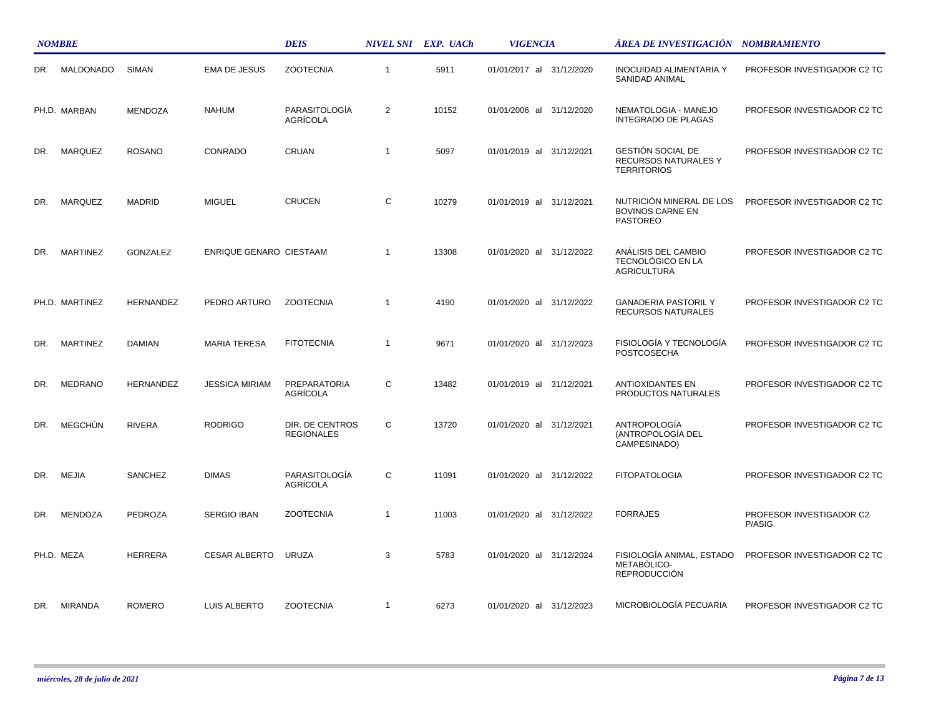|     | <b>NOMBRE</b>   |                  |                         | <b>DEIS</b>                          |                | NIVEL SNI EXP. UACh | <b>VIGENCIA</b>          | ÁREA DE INVESTIGACIÓN – NOMBRAMIENTO                                   |                                     |
|-----|-----------------|------------------|-------------------------|--------------------------------------|----------------|---------------------|--------------------------|------------------------------------------------------------------------|-------------------------------------|
| DR. | MALDONADO       | <b>SIMAN</b>     | <b>EMA DE JESUS</b>     | <b>ZOOTECNIA</b>                     | $\mathbf{1}$   | 5911                | 01/01/2017 al 31/12/2020 | <b>INOCUIDAD ALIMENTARIA Y</b><br>SANIDAD ANIMAL                       | PROFESOR INVESTIGADOR C2 TC         |
|     | PH.D. MARBAN    | <b>MENDOZA</b>   | <b>NAHUM</b>            | PARASITOLOGÍA<br>AGRÍCOLA            | 2              | 10152               | 01/01/2006 al 31/12/2020 | NEMATOLOGIA - MANEJO<br><b>INTEGRADO DE PLAGAS</b>                     | PROFESOR INVESTIGADOR C2 TC         |
| DR. | MARQUEZ         | <b>ROSANO</b>    | CONRADO                 | CRUAN                                | $\overline{1}$ | 5097                | 01/01/2019 al 31/12/2021 | GESTIÓN SOCIAL DE<br>RECURSOS NATURALES Y<br><b>TERRITORIOS</b>        | PROFESOR INVESTIGADOR C2 TC         |
| DR. | <b>MARQUEZ</b>  | <b>MADRID</b>    | <b>MIGUEL</b>           | <b>CRUCEN</b>                        | C              | 10279               | 01/01/2019 al 31/12/2021 | NUTRICIÓN MINERAL DE LOS<br><b>BOVINOS CARNE EN</b><br><b>PASTOREO</b> | PROFESOR INVESTIGADOR C2 TC         |
| DR. | <b>MARTINEZ</b> | GONZALEZ         | ENRIQUE GENARO CIESTAAM |                                      | $\overline{1}$ | 13308               | 01/01/2020 al 31/12/2022 | ANÁLISIS DEL CAMBIO<br>TECNOLÓGICO EN LA<br><b>AGRICULTURA</b>         | PROFESOR INVESTIGADOR C2 TC         |
|     | PH.D. MARTINEZ  | <b>HERNANDEZ</b> | PEDRO ARTURO            | <b>ZOOTECNIA</b>                     | $\overline{1}$ | 4190                | 01/01/2020 al 31/12/2022 | <b>GANADERIA PASTORIL Y</b><br>RECURSOS NATURALES                      | PROFESOR INVESTIGADOR C2 TC         |
| DR. | <b>MARTINEZ</b> | <b>DAMIAN</b>    | <b>MARIA TERESA</b>     | <b>FITOTECNIA</b>                    | $\mathbf{1}$   | 9671                | 01/01/2020 al 31/12/2023 | FISIOLOGÍA Y TECNOLOGÍA<br><b>POSTCOSECHA</b>                          | PROFESOR INVESTIGADOR C2 TC         |
| DR. | <b>MEDRANO</b>  | <b>HERNANDEZ</b> | <b>JESSICA MIRIAM</b>   | PREPARATORIA<br>AGRÍCOLA             | C              | 13482               | 01/01/2019 al 31/12/2021 | <b>ANTIOXIDANTES EN</b><br>PRODUCTOS NATURALES                         | PROFESOR INVESTIGADOR C2 TC         |
| DR. | <b>MEGCHÚN</b>  | <b>RIVERA</b>    | <b>RODRIGO</b>          | DIR. DE CENTROS<br><b>REGIONALES</b> | C              | 13720               | 01/01/2020 al 31/12/2021 | ANTROPOLOGÍA<br>(ANTROPOLOGÍA DEL<br>CAMPESINADO)                      | PROFESOR INVESTIGADOR C2 TC         |
| DR. | MEJIA           | SANCHEZ          | <b>DIMAS</b>            | PARASITOLOGÍA<br>AGRÍCOLA            | C              | 11091               | 01/01/2020 al 31/12/2022 | <b>FITOPATOLOGIA</b>                                                   | PROFESOR INVESTIGADOR C2 TC         |
| DR. | <b>MENDOZA</b>  | <b>PEDROZA</b>   | <b>SERGIO IBAN</b>      | <b>ZOOTECNIA</b>                     | $\mathbf{1}$   | 11003               | 01/01/2020 al 31/12/2022 | <b>FORRAJES</b>                                                        | PROFESOR INVESTIGADOR C2<br>P/ASIG. |
|     | PH.D. MEZA      | <b>HERRERA</b>   | CESAR ALBERTO           | URUZA                                | 3              | 5783                | 01/01/2020 al 31/12/2024 | FISIOLOGÍA ANIMAL, ESTADO<br>METABÓLICO-<br><b>REPRODUCCIÓN</b>        | PROFESOR INVESTIGADOR C2 TC         |
|     | DR. MIRANDA     | ROMERO           | LUIS ALBERTO            | <b>ZOOTECNIA</b>                     | $\mathbf{1}$   | 6273                | 01/01/2020 al 31/12/2023 | MICROBIOLOGÍA PECUARIA                                                 | PROFESOR INVESTIGADOR C2 TC         |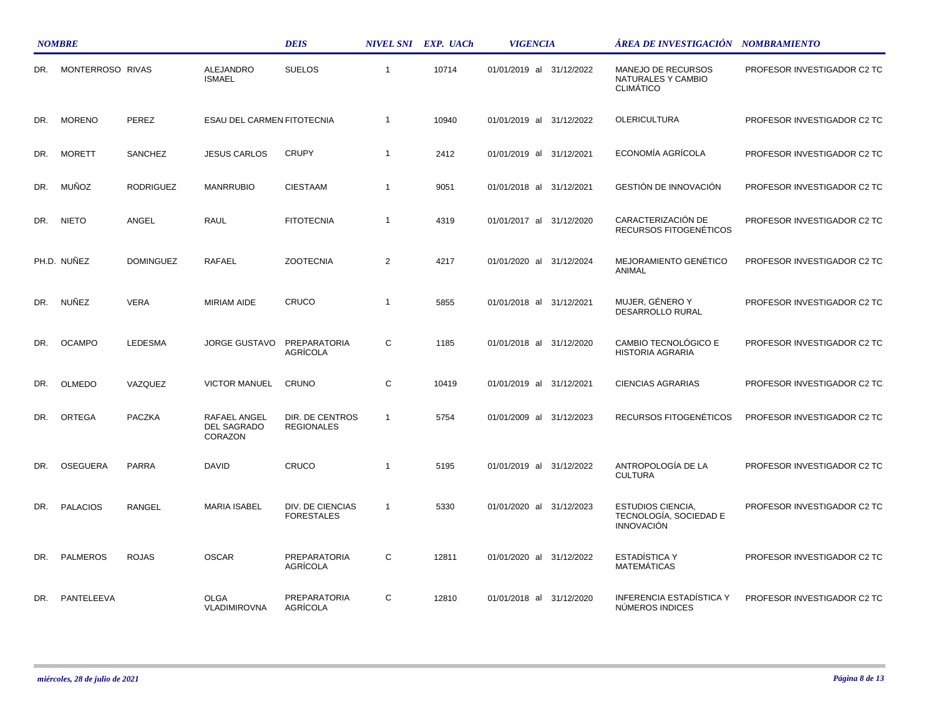|     | <b>NOMBRE</b>    |                  |                                               | <b>DEIS</b>                                  |                | NIVEL SNI EXP. UACh | <b>VIGENCIA</b>          | ÁREA DE INVESTIGACIÓN NOMBRAMIENTO                                      |                             |
|-----|------------------|------------------|-----------------------------------------------|----------------------------------------------|----------------|---------------------|--------------------------|-------------------------------------------------------------------------|-----------------------------|
| DR. | MONTERROSO RIVAS |                  | ALEJANDRO<br><b>ISMAEL</b>                    | <b>SUELOS</b>                                | $\overline{1}$ | 10714               | 01/01/2019 al 31/12/2022 | MANEJO DE RECURSOS<br>NATURALES Y CAMBIO<br><b>CLIMÁTICO</b>            | PROFESOR INVESTIGADOR C2 TC |
| DR. | <b>MORENO</b>    | PEREZ            | ESAU DEL CARMEN FITOTECNIA                    |                                              | $\overline{1}$ | 10940               | 01/01/2019 al 31/12/2022 | <b>OLERICULTURA</b>                                                     | PROFESOR INVESTIGADOR C2 TC |
| DR. | <b>MORETT</b>    | <b>SANCHEZ</b>   | <b>JESUS CARLOS</b>                           | <b>CRUPY</b>                                 | $\overline{1}$ | 2412                | 01/01/2019 al 31/12/2021 | ECONOMÍA AGRÍCOLA                                                       | PROFESOR INVESTIGADOR C2 TC |
| DR. | MUÑOZ            | <b>RODRIGUEZ</b> | <b>MANRRUBIO</b>                              | <b>CIESTAAM</b>                              | $\overline{1}$ | 9051                | 01/01/2018 al 31/12/2021 | GESTIÓN DE INNOVACIÓN                                                   | PROFESOR INVESTIGADOR C2 TC |
| DR. | <b>NIETO</b>     | ANGEL            | <b>RAUL</b>                                   | <b>FITOTECNIA</b>                            | $\overline{1}$ | 4319                | 01/01/2017 al 31/12/2020 | CARACTERIZACIÓN DE<br>RECURSOS FITOGENÉTICOS                            | PROFESOR INVESTIGADOR C2 TC |
|     | PH.D. NUNEZ      | <b>DOMINGUEZ</b> | RAFAEL                                        | <b>ZOOTECNIA</b>                             | 2              | 4217                | 01/01/2020 al 31/12/2024 | MEJORAMIENTO GENÉTICO<br>ANIMAL                                         | PROFESOR INVESTIGADOR C2 TC |
| DR. | NUÑEZ            | <b>VERA</b>      | <b>MIRIAM AIDE</b>                            | CRUCO                                        | $\overline{1}$ | 5855                | 01/01/2018 al 31/12/2021 | MUJER. GÉNERO Y<br>DESARROLLO RURAL                                     | PROFESOR INVESTIGADOR C2 TC |
| DR. | <b>OCAMPO</b>    | <b>LEDESMA</b>   | <b>JORGE GUSTAVO</b>                          | PREPARATORIA<br>AGRÍCOLA                     | C              | 1185                | 01/01/2018 al 31/12/2020 | CAMBIO TECNOLÓGICO E<br><b>HISTORIA AGRARIA</b>                         | PROFESOR INVESTIGADOR C2 TC |
| DR. | <b>OLMEDO</b>    | VAZQUEZ          | <b>VICTOR MANUEL</b>                          | CRUNO                                        | C              | 10419               | 01/01/2019 al 31/12/2021 | <b>CIENCIAS AGRARIAS</b>                                                | PROFESOR INVESTIGADOR C2 TC |
| DR. | ORTEGA           | <b>PACZKA</b>    | RAFAEL ANGEL<br><b>DEL SAGRADO</b><br>CORAZON | DIR. DE CENTROS<br><b>REGIONALES</b>         | $\overline{1}$ | 5754                | 01/01/2009 al 31/12/2023 | RECURSOS FITOGENÉTICOS                                                  | PROFESOR INVESTIGADOR C2 TC |
| DR. | <b>OSEGUERA</b>  | <b>PARRA</b>     | <b>DAVID</b>                                  | CRUCO                                        | $\overline{1}$ | 5195                | 01/01/2019 al 31/12/2022 | ANTROPOLOGÍA DE LA<br><b>CULTURA</b>                                    | PROFESOR INVESTIGADOR C2 TC |
| DR. | <b>PALACIOS</b>  | <b>RANGEL</b>    | <b>MARIA ISABEL</b>                           | <b>DIV. DE CIENCIAS</b><br><b>FORESTALES</b> | $\overline{1}$ | 5330                | 01/01/2020 al 31/12/2023 | <b>ESTUDIOS CIENCIA,</b><br>TECNOLOGÍA, SOCIEDAD E<br><b>INNOVACIÓN</b> | PROFESOR INVESTIGADOR C2 TC |
| DR. | <b>PALMEROS</b>  | <b>ROJAS</b>     | <b>OSCAR</b>                                  | PREPARATORIA<br><b>AGRÍCOLA</b>              | C              | 12811               | 01/01/2020 al 31/12/2022 | <b>ESTADÍSTICA Y</b><br><b>MATEMÁTICAS</b>                              | PROFESOR INVESTIGADOR C2 TC |
| DR. | PANTELEEVA       |                  | <b>OLGA</b><br>VLADIMIROVNA                   | <b>PREPARATORIA</b><br>AGRICOLA              | C              | 12810               | 01/01/2018 al 31/12/2020 | <b>INFERENCIA ESTADÍSTICA Y</b><br>NÚMEROS INDICES                      | PROFESOR INVESTIGADOR C2 TC |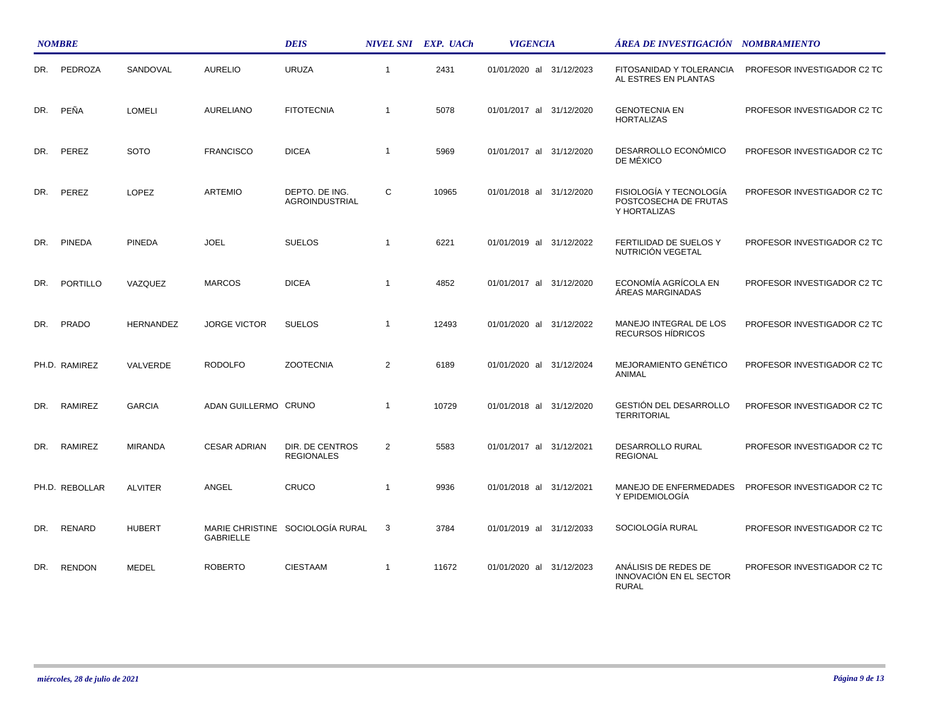|     | <b>NOMBRE</b>  |                |                      | <b>DEIS</b>                          |                | NIVEL SNI EXP. UACh | <b>VIGENCIA</b>          | ÁREA DE INVESTIGACIÓN NOMBRAMIENTO                               |                             |
|-----|----------------|----------------|----------------------|--------------------------------------|----------------|---------------------|--------------------------|------------------------------------------------------------------|-----------------------------|
| DR. | PEDROZA        | SANDOVAL       | <b>AURELIO</b>       | <b>URUZA</b>                         | $\overline{1}$ | 2431                | 01/01/2020 al 31/12/2023 | FITOSANIDAD Y TOLERANCIA<br>AL ESTRES EN PLANTAS                 | PROFESOR INVESTIGADOR C2 TC |
| DR. | PEÑA           | <b>LOMELI</b>  | AURELIANO            | <b>FITOTECNIA</b>                    | $\overline{1}$ | 5078                | 01/01/2017 al 31/12/2020 | <b>GENOTECNIA EN</b><br><b>HORTALIZAS</b>                        | PROFESOR INVESTIGADOR C2 TC |
| DR. | PEREZ          | <b>SOTO</b>    | <b>FRANCISCO</b>     | <b>DICEA</b>                         | $\overline{1}$ | 5969                | 01/01/2017 al 31/12/2020 | DESARROLLO ECONÓMICO<br>DE MÉXICO                                | PROFESOR INVESTIGADOR C2 TC |
| DR. | PEREZ          | <b>LOPEZ</b>   | <b>ARTEMIO</b>       | DEPTO. DE ING.<br>AGROINDUSTRIAL     | $\mathsf{C}$   | 10965               | 01/01/2018 al 31/12/2020 | FISIOLOGÍA Y TECNOLOGÍA<br>POSTCOSECHA DE FRUTAS<br>Y HORTALIZAS | PROFESOR INVESTIGADOR C2 TC |
| DR. | <b>PINEDA</b>  | <b>PINEDA</b>  | <b>JOEL</b>          | <b>SUELOS</b>                        | -1             | 6221                | 01/01/2019 al 31/12/2022 | FERTILIDAD DE SUELOS Y<br>NUTRICIÓN VEGETAL                      | PROFESOR INVESTIGADOR C2 TC |
| DR. | PORTILLO       | VAZQUEZ        | <b>MARCOS</b>        | <b>DICEA</b>                         | $\overline{1}$ | 4852                | 01/01/2017 al 31/12/2020 | ECONOMÍA AGRÍCOLA EN<br>ÁREAS MARGINADAS                         | PROFESOR INVESTIGADOR C2 TC |
| DR. | PRADO          | HERNANDEZ      | <b>JORGE VICTOR</b>  | <b>SUELOS</b>                        | $\overline{1}$ | 12493               | 01/01/2020 al 31/12/2022 | MANEJO INTEGRAL DE LOS<br>RECURSOS HÍDRICOS                      | PROFESOR INVESTIGADOR C2 TC |
|     | PH.D. RAMIREZ  | VALVERDE       | <b>RODOLFO</b>       | <b>ZOOTECNIA</b>                     | $\overline{2}$ | 6189                | 01/01/2020 al 31/12/2024 | <b>MEJORAMIENTO GENÉTICO</b><br>ANIMAL                           | PROFESOR INVESTIGADOR C2 TC |
| DR. | RAMIREZ        | <b>GARCIA</b>  | ADAN GUILLERMO CRUNO |                                      | $\overline{1}$ | 10729               | 01/01/2018 al 31/12/2020 | GESTIÓN DEL DESARROLLO<br><b>TERRITORIAL</b>                     | PROFESOR INVESTIGADOR C2 TC |
| DR. | RAMIREZ        | <b>MIRANDA</b> | <b>CESAR ADRIAN</b>  | DIR. DE CENTROS<br><b>REGIONALES</b> | $\overline{2}$ | 5583                | 01/01/2017 al 31/12/2021 | DESARROLLO RURAL<br><b>REGIONAL</b>                              | PROFESOR INVESTIGADOR C2 TC |
|     | PH.D. REBOLLAR | <b>ALVITER</b> | ANGEL                | CRUCO                                | $\overline{1}$ | 9936                | 01/01/2018 al 31/12/2021 | MANEJO DE ENFERMEDADES<br>Y EPIDEMIOLOGÍA                        | PROFESOR INVESTIGADOR C2 TC |
| DR. | RENARD         | <b>HUBERT</b>  | <b>GABRIELLE</b>     | MARIE CHRISTINE SOCIOLOGÍA RURAL     | 3              | 3784                | 01/01/2019 al 31/12/2033 | SOCIOLOGÍA RURAL                                                 | PROFESOR INVESTIGADOR C2 TC |
| DR. | <b>RENDON</b>  | <b>MEDEL</b>   | <b>ROBERTO</b>       | <b>CIESTAAM</b>                      | $\mathbf{1}$   | 11672               | 01/01/2020 al 31/12/2023 | ANÁLISIS DE REDES DE<br>INNOVACIÓN EN EL SECTOR<br>RURAL         | PROFESOR INVESTIGADOR C2 TC |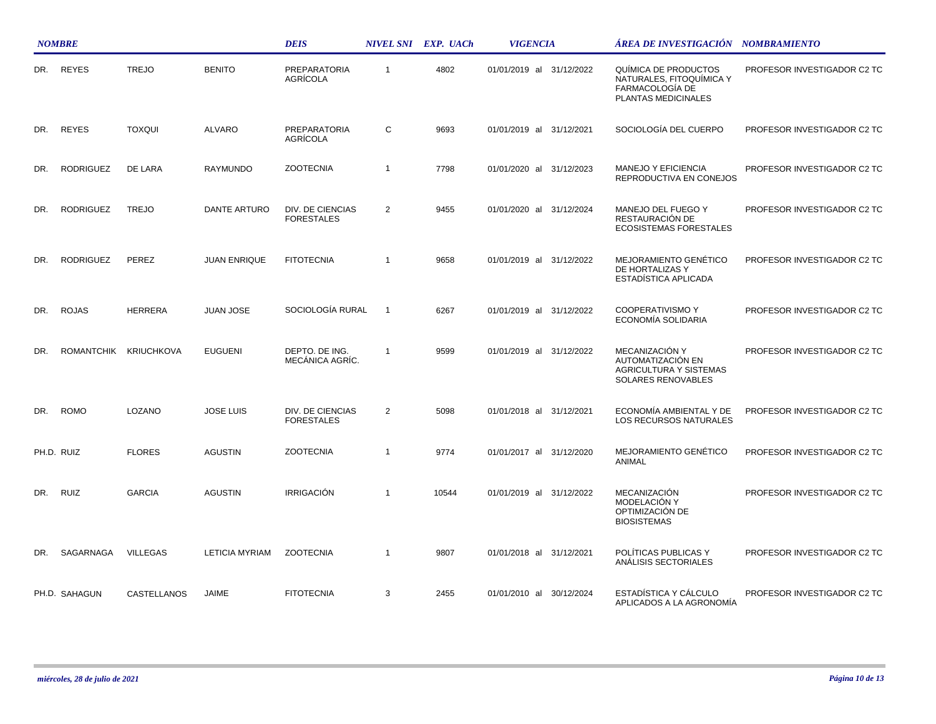|     | <b>NOMBRE</b>    |                       |                       | <b>DEIS</b>                           |                | NIVEL SNI EXP. UACh | <b>VIGENCIA</b>          | ÁREA DE INVESTIGACIÓN NOMBRAMIENTO                                                                |                             |  |
|-----|------------------|-----------------------|-----------------------|---------------------------------------|----------------|---------------------|--------------------------|---------------------------------------------------------------------------------------------------|-----------------------------|--|
| DR. | <b>REYES</b>     | <b>TREJO</b>          | <b>BENITO</b>         | <b>PREPARATORIA</b><br>AGRÍCOLA       | $\mathbf{1}$   | 4802                | 01/01/2019 al 31/12/2022 | QUÍMICA DE PRODUCTOS<br>NATURALES, FITOQUÍMICA Y<br>FARMACOLOGÍA DE<br><b>PLANTAS MEDICINALES</b> | PROFESOR INVESTIGADOR C2 TC |  |
| DR. | <b>REYES</b>     | <b>TOXQUI</b>         | <b>ALVARO</b>         | <b>PREPARATORIA</b><br>AGRÍCOLA       | C              | 9693                | 01/01/2019 al 31/12/2021 | SOCIOLOGÍA DEL CUERPO                                                                             | PROFESOR INVESTIGADOR C2 TC |  |
| DR. | <b>RODRIGUEZ</b> | DE LARA               | RAYMUNDO              | <b>ZOOTECNIA</b>                      | $\mathbf{1}$   | 7798                | 01/01/2020 al 31/12/2023 | MANEJO Y EFICIENCIA<br>REPRODUCTIVA EN CONEJOS                                                    | PROFESOR INVESTIGADOR C2 TC |  |
| DR. | <b>RODRIGUEZ</b> | <b>TREJO</b>          | DANTE ARTURO          | DIV. DE CIENCIAS<br><b>FORESTALES</b> | $\overline{2}$ | 9455                | 01/01/2020 al 31/12/2024 | MANEJO DEL FUEGO Y<br>RESTAURACIÓN DE<br><b>ECOSISTEMAS FORESTALES</b>                            | PROFESOR INVESTIGADOR C2 TC |  |
| DR. | <b>RODRIGUEZ</b> | PEREZ                 | <b>JUAN ENRIQUE</b>   | <b>FITOTECNIA</b>                     | $\mathbf{1}$   | 9658                | 01/01/2019 al 31/12/2022 | MEJORAMIENTO GENÉTICO<br>DE HORTALIZAS Y<br>ESTADÍSTICA APLICADA                                  | PROFESOR INVESTIGADOR C2 TC |  |
| DR. | <b>ROJAS</b>     | <b>HERRERA</b>        | <b>JUAN JOSE</b>      | SOCIOLOGÍA RURAL                      | $\mathbf{1}$   | 6267                | 01/01/2019 al 31/12/2022 | <b>COOPERATIVISMO Y</b><br>ECONOMÍA SOLIDARIA                                                     | PROFESOR INVESTIGADOR C2 TC |  |
| DR. |                  | ROMANTCHIK KRIUCHKOVA | <b>EUGUENI</b>        | DEPTO. DE ING.<br>MECÁNICA AGRÍC.     | $\mathbf{1}$   | 9599                | 01/01/2019 al 31/12/2022 | MECANIZACIÓN Y<br>AUTOMATIZACIÓN EN<br><b>AGRICULTURA Y SISTEMAS</b><br>SOLARES RENOVABLES        | PROFESOR INVESTIGADOR C2 TC |  |
| DR. | <b>ROMO</b>      | LOZANO                | <b>JOSE LUIS</b>      | DIV. DE CIENCIAS<br><b>FORESTALES</b> | $\overline{2}$ | 5098                | 01/01/2018 al 31/12/2021 | ECONOMÍA AMBIENTAL Y DE<br>LOS RECURSOS NATURALES                                                 | PROFESOR INVESTIGADOR C2 TC |  |
|     | PH.D. RUIZ       | <b>FLORES</b>         | <b>AGUSTIN</b>        | <b>ZOOTECNIA</b>                      | $\mathbf{1}$   | 9774                | 01/01/2017 al 31/12/2020 | MEJORAMIENTO GENÉTICO<br>ANIMAL                                                                   | PROFESOR INVESTIGADOR C2 TC |  |
| DR. | <b>RUIZ</b>      | <b>GARCIA</b>         | <b>AGUSTIN</b>        | <b>IRRIGACIÓN</b>                     | $\mathbf{1}$   | 10544               | 01/01/2019 al 31/12/2022 | <b>MECANIZACIÓN</b><br>MODELACIÓN Y<br>OPTIMIZACIÓN DE<br><b>BIOSISTEMAS</b>                      | PROFESOR INVESTIGADOR C2 TC |  |
| DR. | SAGARNAGA        | <b>VILLEGAS</b>       | <b>LETICIA MYRIAM</b> | <b>ZOOTECNIA</b>                      | $\mathbf{1}$   | 9807                | 01/01/2018 al 31/12/2021 | POLÍTICAS PUBLICAS Y<br>ANÁLISIS SECTORIALES                                                      | PROFESOR INVESTIGADOR C2 TC |  |
|     | PH.D. SAHAGUN    | CASTELLANOS           | JAIME                 | <b>FITOTECNIA</b>                     | 3              | 2455                | 01/01/2010 al 30/12/2024 | ESTADÍSTICA Y CÁLCULO<br>APLICADOS A LA AGRONOMÍA                                                 | PROFESOR INVESTIGADOR C2 TC |  |

 $\mathcal{L}$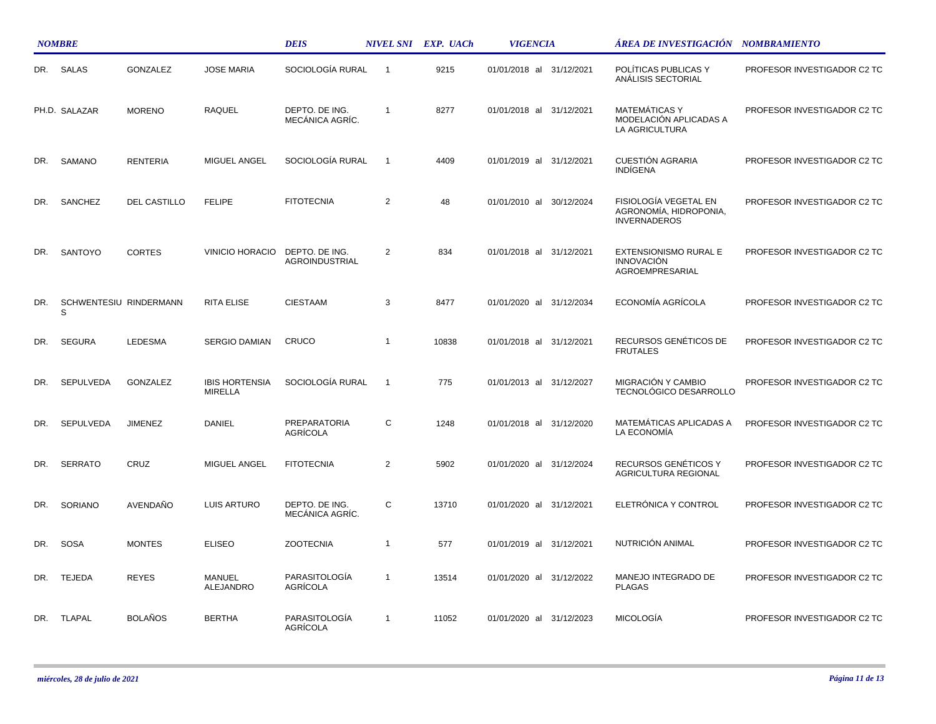|     | <b>NOMBRE</b>               |                     |                                         | <b>DEIS</b>                       |                | NIVEL SNI EXP. UACh | <b>VIGENCIA</b>             | ÁREA DE INVESTIGACIÓN    NOMBRAMIENTO                                  |                                    |
|-----|-----------------------------|---------------------|-----------------------------------------|-----------------------------------|----------------|---------------------|-----------------------------|------------------------------------------------------------------------|------------------------------------|
|     | DR. SALAS                   | GONZALEZ            | <b>JOSE MARIA</b>                       | SOCIOLOGÍA RURAL                  | $\overline{1}$ | 9215                | 01/01/2018 al 31/12/2021    | POLÍTICAS PUBLICAS Y<br>ANALISIS SECTORIAL                             | PROFESOR INVESTIGADOR C2 TC        |
|     | PH.D. SALAZAR               | <b>MORENO</b>       | <b>RAQUEL</b>                           | DEPTO. DE ING.<br>MECÁNICA AGRÍC. | $\overline{1}$ | 8277                | 01/01/2018 al 31/12/2021    | <b>MATEMÁTICAS Y</b><br>MODELACIÓN APLICADAS A<br>LA AGRICULTURA       | PROFESOR INVESTIGADOR C2 TC        |
| DR. | SAMANO                      | <b>RENTERIA</b>     | MIGUEL ANGEL                            | SOCIOLOGÍA RURAL                  | $\overline{1}$ | 4409                | 01/01/2019 al 31/12/2021    | <b>CUESTIÓN AGRARIA</b><br><b>INDIGENA</b>                             | PROFESOR INVESTIGADOR C2 TC        |
| DR. | SANCHEZ                     | <b>DEL CASTILLO</b> | <b>FELIPE</b>                           | <b>FITOTECNIA</b>                 | $\overline{2}$ | 48                  | 01/01/2010 al<br>30/12/2024 | FISIOLOGÍA VEGETAL EN<br>AGRONOMÍA, HIDROPONIA,<br><b>INVERNADEROS</b> | PROFESOR INVESTIGADOR C2 TC        |
| DR. | SANTOYO                     | <b>CORTES</b>       | <b>VINICIO HORACIO</b>                  | DEPTO. DE ING.<br>AGROINDUSTRIAL  | 2              | 834                 | 01/01/2018 al 31/12/2021    | EXTENSIONISMO RURAL E<br><b>INNOVACIÓN</b><br>AGROEMPRESARIAL          | PROFESOR INVESTIGADOR C2 TC        |
| DR. | SCHWENTESIU RINDERMANN<br>S |                     | <b>RITA ELISE</b>                       | <b>CIESTAAM</b>                   | 3              | 8477                | 01/01/2020 al 31/12/2034    | ECONOMÍA AGRÍCOLA                                                      | <b>PROFESOR INVESTIGADOR C2 TC</b> |
| DR. | <b>SEGURA</b>               | LEDESMA             | SERGIO DAMIAN                           | CRUCO                             | $\mathbf{1}$   | 10838               | 01/01/2018 al 31/12/2021    | RECURSOS GENÉTICOS DE<br><b>FRUTALES</b>                               | PROFESOR INVESTIGADOR C2 TC        |
| DR. | <b>SEPULVEDA</b>            | <b>GONZALEZ</b>     | <b>IBIS HORTENSIA</b><br><b>MIRELLA</b> | SOCIOLOGÍA RURAL                  | $\overline{1}$ | 775                 | 01/01/2013 al 31/12/2027    | MIGRACIÓN Y CAMBIO<br>TECNOLÓGICO DESARROLLO                           | PROFESOR INVESTIGADOR C2 TC        |
| DR. | SEPULVEDA                   | <b>JIMENEZ</b>      | DANIEL                                  | PREPARATORIA<br>AGRÍCOLA          | С              | 1248                | 01/01/2018 al 31/12/2020    | MATEMÁTICAS APLICADAS A<br>LA ECONOMÍA                                 | PROFESOR INVESTIGADOR C2 TC        |
| DR. | <b>SERRATO</b>              | CRUZ                | MIGUEL ANGEL                            | <b>FITOTECNIA</b>                 | $\overline{2}$ | 5902                | 01/01/2020 al 31/12/2024    | RECURSOS GENÉTICOS Y<br>AGRICULTURA REGIONAL                           | PROFESOR INVESTIGADOR C2 TC        |
| DR. | SORIANO                     | AVENDAÑO            | LUIS ARTURO                             | DEPTO. DE ING.<br>MECÁNICA AGRÍC. | C              | 13710               | 01/01/2020 al 31/12/2021    | ELETRÓNICA Y CONTROL                                                   | PROFESOR INVESTIGADOR C2 TC        |
| DR. | <b>SOSA</b>                 | <b>MONTES</b>       | <b>ELISEO</b>                           | <b>ZOOTECNIA</b>                  | $\overline{1}$ | 577                 | 01/01/2019 al 31/12/2021    | NUTRICIÓN ANIMAL                                                       | PROFESOR INVESTIGADOR C2 TC        |
| DR. | <b>TEJEDA</b>               | <b>REYES</b>        | <b>MANUEL</b><br><b>ALEJANDRO</b>       | PARASITOLOGÍA<br>AGRÍCOLA         | $\overline{1}$ | 13514               | 01/01/2020 al 31/12/2022    | MANEJO INTEGRADO DE<br><b>PLAGAS</b>                                   | PROFESOR INVESTIGADOR C2 TC        |
| DR. | TLAPAL                      | BOLAÑOS             | <b>BERTHA</b>                           | PARASITOLOGÍA<br>AGRÍCOLA         | $\overline{1}$ | 11052               | 01/01/2020 al 31/12/2023    | <b>MICOLOGÍA</b>                                                       | PROFESOR INVESTIGADOR C2 TC        |

 $\mathcal{L}$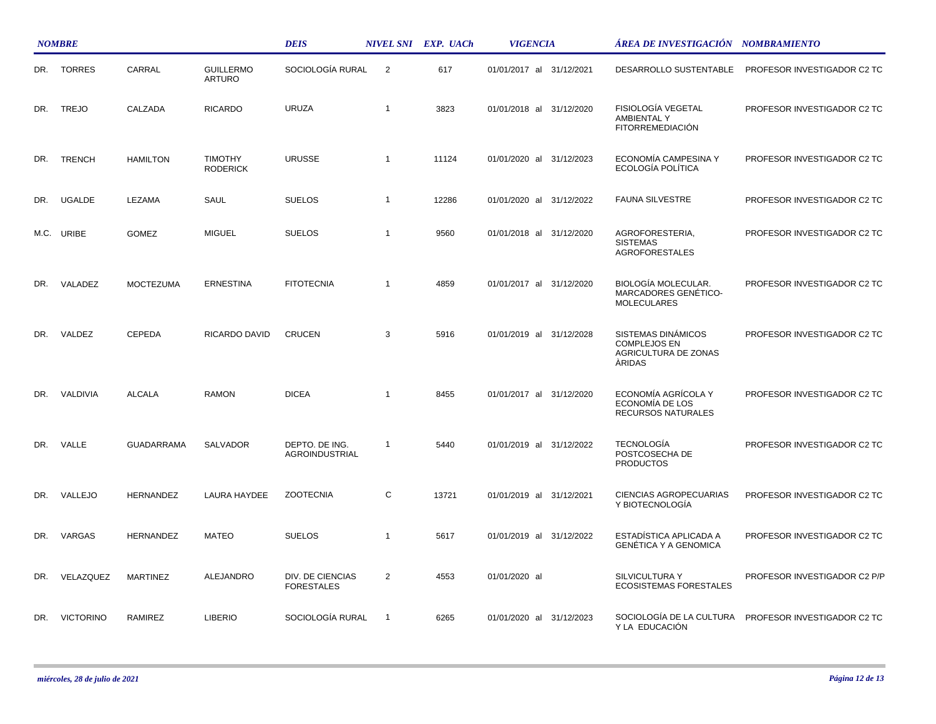|     | <b>NOMBRE</b>    |                   |                                   | <b>DEIS</b>                             |                | NIVEL SNI EXP. UACh | <b>VIGENCIA</b>          | ÁREA DE INVESTIGACIÓN    NOMBRAMIENTO                                              |                              |
|-----|------------------|-------------------|-----------------------------------|-----------------------------------------|----------------|---------------------|--------------------------|------------------------------------------------------------------------------------|------------------------------|
|     | DR. TORRES       | CARRAL            | <b>GUILLERMO</b><br><b>ARTURO</b> | SOCIOLOGÍA RURAL                        | $\overline{2}$ | 617                 | 01/01/2017 al 31/12/2021 | DESARROLLO SUSTENTABLE                                                             | PROFESOR INVESTIGADOR C2 TC  |
| DR. | <b>TREJO</b>     | CALZADA           | <b>RICARDO</b>                    | <b>URUZA</b>                            | $\mathbf{1}$   | 3823                | 01/01/2018 al 31/12/2020 | FISIOLOGÍA VEGETAL<br><b>AMBIENTAL Y</b><br><b>FITORREMEDIACIÓN</b>                | PROFESOR INVESTIGADOR C2 TC  |
| DR. | <b>TRENCH</b>    | <b>HAMILTON</b>   | <b>TIMOTHY</b><br><b>RODERICK</b> | <b>URUSSE</b>                           | $\mathbf{1}$   | 11124               | 01/01/2020 al 31/12/2023 | ECONOMÍA CAMPESINA Y<br>ECOLOGÍA POLÍTICA                                          | PROFESOR INVESTIGADOR C2 TC  |
| DR. | <b>UGALDE</b>    | LEZAMA            | SAUL                              | <b>SUELOS</b>                           | $\mathbf{1}$   | 12286               | 01/01/2020 al 31/12/2022 | <b>FAUNA SILVESTRE</b>                                                             | PROFESOR INVESTIGADOR C2 TC  |
|     | M.C. URIBE       | <b>GOMEZ</b>      | <b>MIGUEL</b>                     | <b>SUELOS</b>                           | $\mathbf{1}$   | 9560                | 01/01/2018 al 31/12/2020 | AGROFORESTERIA,<br><b>SISTEMAS</b><br><b>AGROFORESTALES</b>                        | PROFESOR INVESTIGADOR C2 TC  |
| DR. | VALADEZ          | <b>MOCTEZUMA</b>  | <b>ERNESTINA</b>                  | <b>FITOTECNIA</b>                       | $\overline{1}$ | 4859                | 01/01/2017 al 31/12/2020 | <b>BIOLOGÍA MOLECULAR.</b><br>MARCADORES GENÉTICO-<br><b>MOLECULARES</b>           | PROFESOR INVESTIGADOR C2 TC  |
| DR. | VALDEZ           | CEPEDA            | RICARDO DAVID                     | <b>CRUCEN</b>                           | 3              | 5916                | 01/01/2019 al 31/12/2028 | SISTEMAS DINÁMICOS<br><b>COMPLEJOS EN</b><br>AGRICULTURA DE ZONAS<br><b>ARIDAS</b> | PROFESOR INVESTIGADOR C2 TC  |
| DR. | VALDIVIA         | <b>ALCALA</b>     | <b>RAMON</b>                      | <b>DICEA</b>                            | $\mathbf{1}$   | 8455                | 01/01/2017 al 31/12/2020 | ECONOMÍA AGRÍCOLA Y<br>ECONOMÍA DE LOS<br><b>RECURSOS NATURALES</b>                | PROFESOR INVESTIGADOR C2 TC  |
| DR. | VALLE            | <b>GUADARRAMA</b> | SALVADOR                          | DEPTO. DE ING.<br><b>AGROINDUSTRIAL</b> | $\overline{1}$ | 5440                | 01/01/2019 al 31/12/2022 | <b>TECNOLOGÍA</b><br>POSTCOSECHA DE<br><b>PRODUCTOS</b>                            | PROFESOR INVESTIGADOR C2 TC  |
| DR. | VALLEJO          | <b>HERNANDEZ</b>  | <b>LAURA HAYDEE</b>               | <b>ZOOTECNIA</b>                        | C              | 13721               | 01/01/2019 al 31/12/2021 | <b>CIENCIAS AGROPECUARIAS</b><br>Y BIOTECNOLOGÍA                                   | PROFESOR INVESTIGADOR C2 TC  |
| DR. | VARGAS           | <b>HERNANDEZ</b>  | <b>MATEO</b>                      | <b>SUELOS</b>                           | $\mathbf{1}$   | 5617                | 01/01/2019 al 31/12/2022 | ESTADÍSTICA APLICADA A<br><b>GENÉTICA Y A GENOMICA</b>                             | PROFESOR INVESTIGADOR C2 TC  |
| DR. | VELAZQUEZ        | <b>MARTINEZ</b>   | ALEJANDRO                         | DIV. DE CIENCIAS<br><b>FORESTALES</b>   | $\overline{2}$ | 4553                | 01/01/2020 al            | SILVICULTURA Y<br><b>ECOSISTEMAS FORESTALES</b>                                    | PROFESOR INVESTIGADOR C2 P/P |
| DR. | <b>VICTORINO</b> | RAMIREZ           | <b>LIBERIO</b>                    | SOCIOLOGÍA RURAL                        | $\overline{1}$ | 6265                | 01/01/2020 al 31/12/2023 | SOCIOLOGÍA DE LA CULTURA<br>Y LA EDUCACIÓN                                         | PROFESOR INVESTIGADOR C2 TC  |